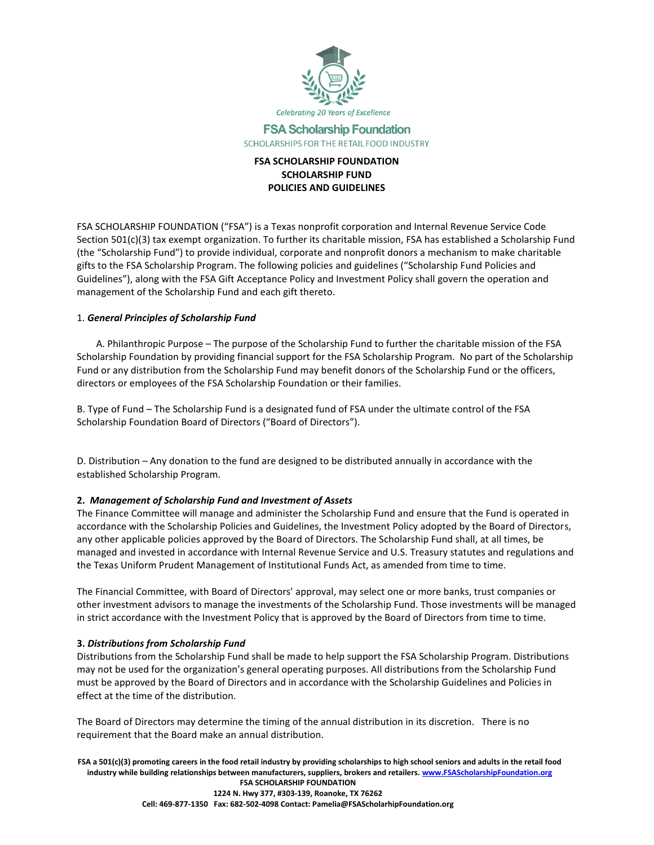

## **FSA Scholarship Foundation** SCHOLARSHIPS FOR THE RETAIL FOOD INDUSTRY

# **FSA SCHOLARSHIP FOUNDATION SCHOLARSHIP FUND POLICIES AND GUIDELINES**

FSA SCHOLARSHIP FOUNDATION ("FSA") is a Texas nonprofit corporation and Internal Revenue Service Code Section 501(c)(3) tax exempt organization. To further its charitable mission, FSA has established a Scholarship Fund (the "Scholarship Fund") to provide individual, corporate and nonprofit donors a mechanism to make charitable gifts to the FSA Scholarship Program. The following policies and guidelines ("Scholarship Fund Policies and Guidelines"), along with the FSA Gift Acceptance Policy and Investment Policy shall govern the operation and management of the Scholarship Fund and each gift thereto.

## 1. *General Principles of Scholarship Fund*

A. Philanthropic Purpose – The purpose of the Scholarship Fund to further the charitable mission of the FSA Scholarship Foundation by providing financial support for the FSA Scholarship Program. No part of the Scholarship Fund or any distribution from the Scholarship Fund may benefit donors of the Scholarship Fund or the officers, directors or employees of the FSA Scholarship Foundation or their families.

B. Type of Fund – The Scholarship Fund is a designated fund of FSA under the ultimate control of the FSA Scholarship Foundation Board of Directors ("Board of Directors").

D. Distribution – Any donation to the fund are designed to be distributed annually in accordance with the established Scholarship Program.

# **2.** *Management of Scholarship Fund and Investment of Assets*

The Finance Committee will manage and administer the Scholarship Fund and ensure that the Fund is operated in accordance with the Scholarship Policies and Guidelines, the Investment Policy adopted by the Board of Directors, any other applicable policies approved by the Board of Directors. The Scholarship Fund shall, at all times, be managed and invested in accordance with Internal Revenue Service and U.S. Treasury statutes and regulations and the Texas Uniform Prudent Management of Institutional Funds Act, as amended from time to time.

The Financial Committee, with Board of Directors' approval, may select one or more banks, trust companies or other investment advisors to manage the investments of the Scholarship Fund. Those investments will be managed in strict accordance with the Investment Policy that is approved by the Board of Directors from time to time.

#### **3.** *Distributions from Scholarship Fund*

Distributions from the Scholarship Fund shall be made to help support the FSA Scholarship Program. Distributions may not be used for the organization's general operating purposes. All distributions from the Scholarship Fund must be approved by the Board of Directors and in accordance with the Scholarship Guidelines and Policies in effect at the time of the distribution.

The Board of Directors may determine the timing of the annual distribution in its discretion. There is no requirement that the Board make an annual distribution.

**FSA a 501(c)(3) promoting careers in the food retail industry by providing scholarships to high school seniors and adults in the retail food industry while building relationships between manufacturers, suppliers, brokers and retailers[. www.FSAScholarshipFoundation.org](http://www.fsascholarshipfoundation.org/) FSA SCHOLARSHIP FOUNDATION 1224 N. Hwy 377, #303-139, Roanoke, TX 76262 Cell: 469-877-1350 Fax: 682-502-4098 Contact: Pamelia@FSAScholarhipFoundation.org**